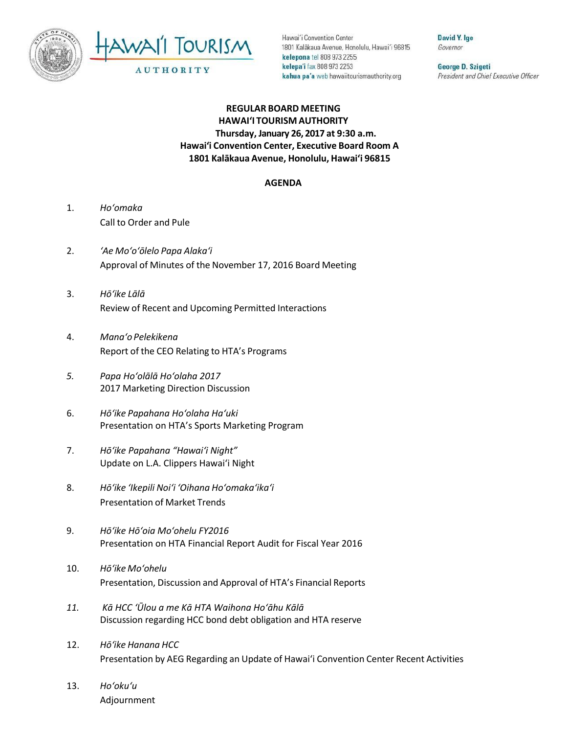



Hawai'i Convention Center 1801 Kalakaua Avenue, Honolulu, Hawai'i 96815 kelepona tel 808 973 2255 kelepa'i fax 808 973 2253 kahua pa'a web hawaiitourismauthority.org

David Y. Ige Governor

George D. Szigeti President and Chief Executive Officer

## **REGULAR BOARD MEETING HAWAI'I TOURISM AUTHORITY Thursday, January 26, 2017 at 9:30 a.m. Hawai'i Convention Center, Executive Board Room A 1801 Kalākaua Avenue, Honolulu, Hawai'i 96815**

## **AGENDA**

- 1. *Ho'omaka* Call to Order and Pule
- 2. *'Ae Mo'o'ōlelo Papa Alaka'i* Approval of Minutes of the November 17, 2016 Board Meeting
- 3. *Hō'ike Lālā* Review of Recent and Upcoming Permitted Interactions
- 4. *Mana'o Pelekikena* Report of the CEO Relating to HTA's Programs
- *5. Papa Hoʻolālā Ho'olaha 2017* 2017 Marketing Direction Discussion
- 6. *Hō'ike Papahana Ho'olaha Ha'uki* Presentation on HTA's Sports Marketing Program
- 7. *Hō'ike Papahana "Hawai'i Night"* Update on L.A. Clippers Hawai'i Night
- 8. *Hō'ike 'Ikepili Noi'i 'Oihana Ho'omaka'ika'i* Presentation of Market Trends
- 9. *Hō'ike Hōʻoia Mo'ohelu FY2016* Presentation on HTA Financial Report Audit for Fiscal Year 2016
- 10. *Hō'ike Mo'ohelu* Presentation, Discussion and Approval of HTA's Financial Reports
- *11. Kā HCC ʻŪlou a me Kā HTA Waihona Hoʻāhu Kālā* Discussion regarding HCC bond debt obligation and HTA reserve
- 12. *Hōʻike Hanana HCC* Presentation by AEG Regarding an Update of Hawai'i Convention Center Recent Activities
- 13. *Ho'oku'u* Adjournment